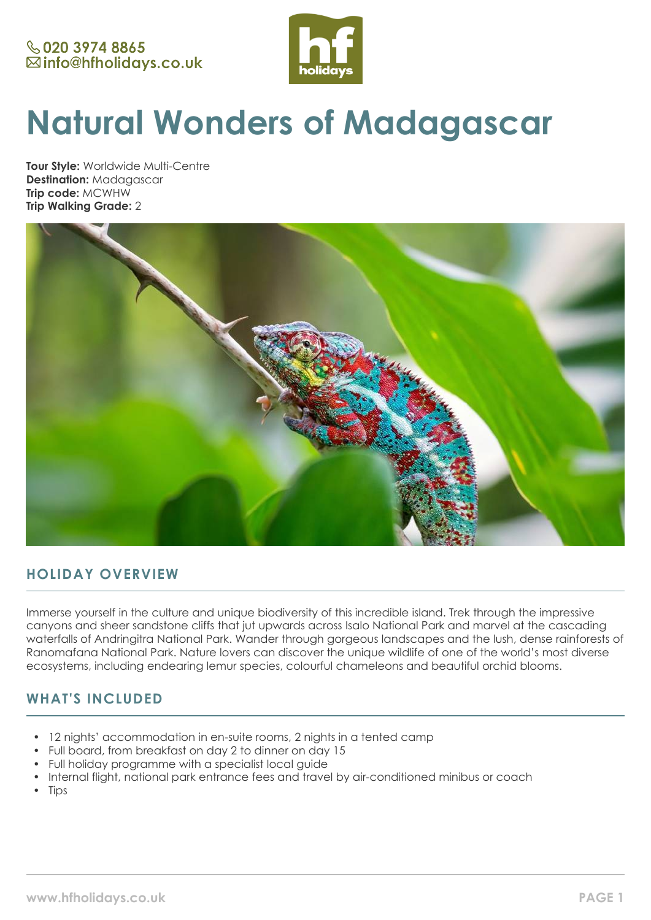

# **Natural Wonders of Madagascar**

**Tour Style:** Worldwide Multi-Centre **Destination:** Madagascar **Trip code:** MCWHW **Trip Walking Grade:** 2



# **HOLIDAY OVERVIEW**

Immerse yourself in the culture and unique biodiversity of this incredible island. Trek through the impressive canyons and sheer sandstone cliffs that jut upwards across Isalo National Park and marvel at the cascading waterfalls of Andringitra National Park. Wander through gorgeous landscapes and the lush, dense rainforests of Ranomafana National Park. Nature lovers can discover the unique wildlife of one of the world's most diverse ecosystems, including endearing lemur species, colourful chameleons and beautiful orchid blooms.

# **WHAT'S INCLUDED**

- 12 nights' accommodation in en-suite rooms, 2 nights in a tented camp
- Full board, from breakfast on day 2 to dinner on day 15
- Full holiday programme with a specialist local guide
- Internal flight, national park entrance fees and travel by air-conditioned minibus or coach
- Tips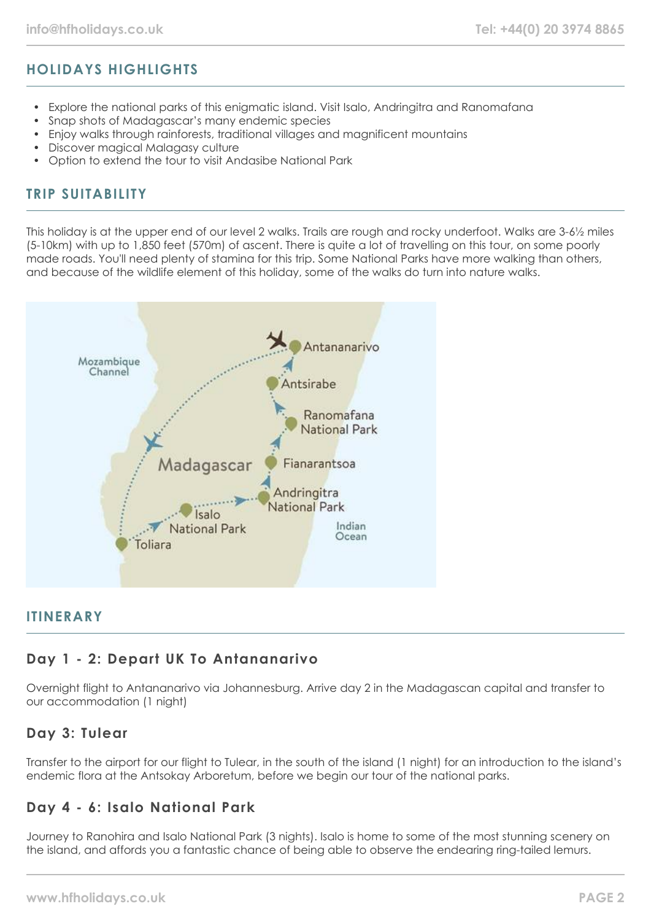# **HOLIDAYS HIGHLIGHTS**

- Explore the national parks of this enigmatic island. Visit Isalo, Andringitra and Ranomafana
- Snap shots of Madagascar's many endemic species
- Enjoy walks through rainforests, traditional villages and magnificent mountains
- Discover magical Malagasy culture
- Option to extend the tour to visit Andasibe National Park

## **TRIP SUITABILITY**

This holiday is at the upper end of our level 2 walks. Trails are rough and rocky underfoot. Walks are 3-61/2 miles (5-10km) with up to 1,850 feet (570m) of ascent. There is quite a lot of travelling on this tour, on some poorly made roads. You'll need plenty of stamina for this trip. Some National Parks have more walking than others, and because of the wildlife element of this holiday, some of the walks do turn into nature walks.



## **ITINERARY**

# **Day 1 - 2: Depart UK To Antananarivo**

Overnight flight to Antananarivo via Johannesburg. Arrive day 2 in the Madagascan capital and transfer to our accommodation (1 night)

## **Day 3: Tulear**

Transfer to the airport for our flight to Tulear, in the south of the island (1 night) for an introduction to the island's endemic flora at the Antsokay Arboretum, before we begin our tour of the national parks.

# **Day 4 - 6: Isalo National Park**

Journey to Ranohira and Isalo National Park (3 nights). Isalo is home to some of the most stunning scenery on the island, and affords you a fantastic chance of being able to observe the endearing ring-tailed lemurs.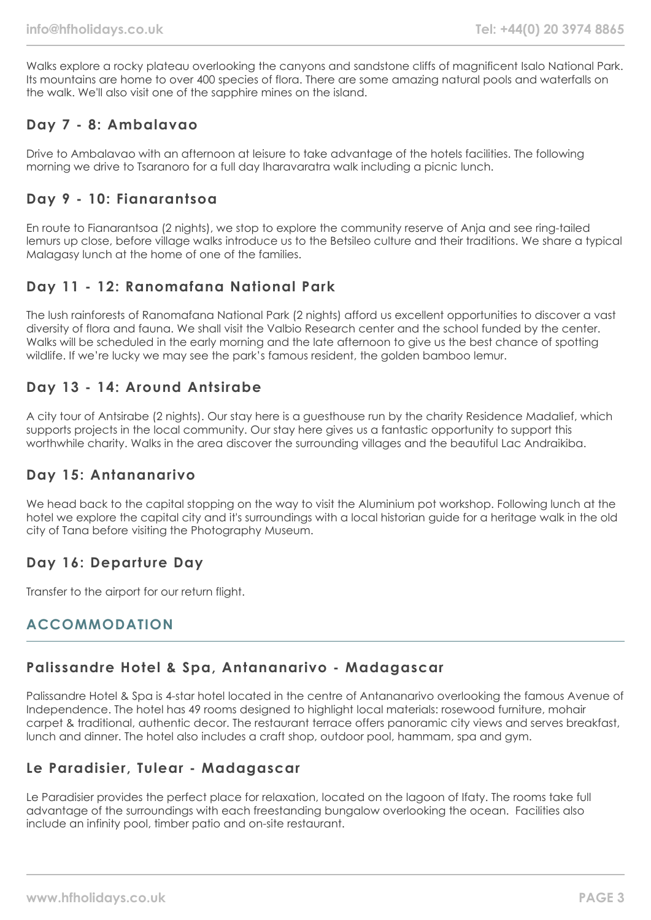Walks explore a rocky plateau overlooking the canyons and sandstone cliffs of magnificent Isalo National Park. Its mountains are home to over 400 species of flora. There are some amazing natural pools and waterfalls on the walk. We'll also visit one of the sapphire mines on the island.

# **Day 7 - 8: Ambalavao**

Drive to Ambalavao with an afternoon at leisure to take advantage of the hotels facilities. The following morning we drive to Tsaranoro for a full day Iharavaratra walk including a picnic lunch.

## **Day 9 - 10: Fianarantsoa**

En route to Fianarantsoa (2 nights), we stop to explore the community reserve of Anja and see ring-tailed lemurs up close, before village walks introduce us to the Betsileo culture and their traditions. We share a typical Malagasy lunch at the home of one of the families.

# **Day 11 - 12: Ranomafana National Park**

The lush rainforests of Ranomafana National Park (2 nights) afford us excellent opportunities to discover a vast diversity of flora and fauna. We shall visit the Valbio Research center and the school funded by the center. Walks will be scheduled in the early morning and the late afternoon to give us the best chance of spotting wildlife. If we're lucky we may see the park's famous resident, the golden bamboo lemur.

# **Day 13 - 14: Around Antsirabe**

A city tour of Antsirabe (2 nights). Our stay here is a guesthouse run by the charity Residence Madalief, which supports projects in the local community. Our stay here gives us a fantastic opportunity to support this worthwhile charity. Walks in the area discover the surrounding villages and the beautiful Lac Andraikiba.

## **Day 15: Antananarivo**

We head back to the capital stopping on the way to visit the Aluminium pot workshop. Following lunch at the hotel we explore the capital city and it's surroundings with a local historian guide for a heritage walk in the old city of Tana before visiting the Photography Museum.

# **Day 16: Departure Day**

Transfer to the airport for our return flight.

# **ACCOMMODATION**

# **Palissandre Hotel & Spa, Antananarivo - Madagascar**

Palissandre Hotel & Spa is 4-star hotel located in the centre of Antananarivo overlooking the famous Avenue of Independence. The hotel has 49 rooms designed to highlight local materials: rosewood furniture, mohair carpet & traditional, authentic decor. The restaurant terrace offers panoramic city views and serves breakfast, lunch and dinner. The hotel also includes a craft shop, outdoor pool, hammam, spa and gym.

# **Le Paradisier, Tulear - Madagascar**

Le Paradisier provides the perfect place for relaxation, located on the lagoon of Ifaty. The rooms take full advantage of the surroundings with each freestanding bungalow overlooking the ocean. Facilities also include an infinity pool, timber patio and on-site restaurant.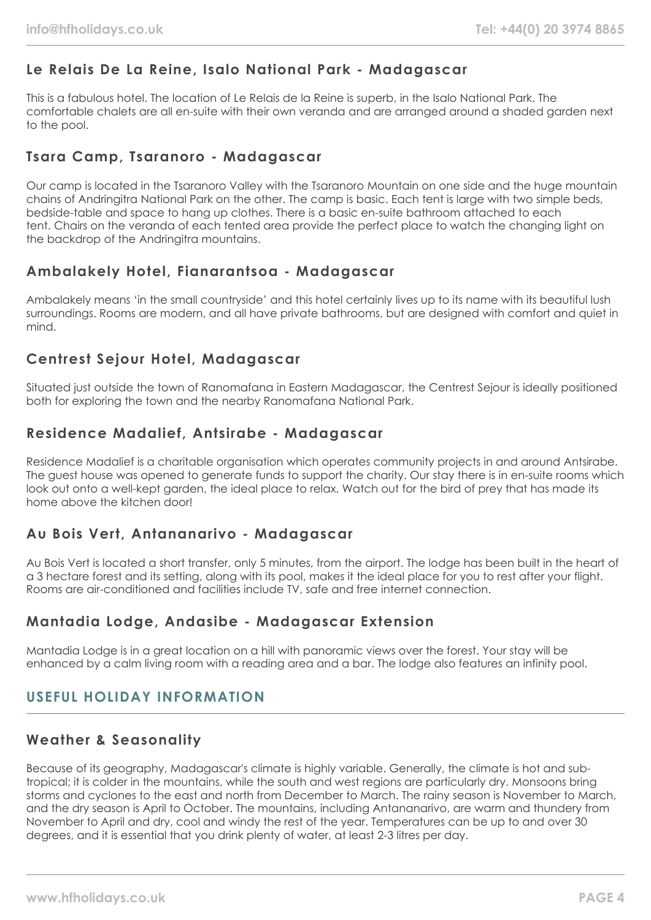# **Le Relais De La Reine, Isalo National Park - Madagascar**

This is a fabulous hotel. The location of Le Relais de la Reine is superb, in the Isalo National Park. The comfortable chalets are all en-suite with their own veranda and are arranged around a shaded garden next to the pool.

## **Tsara Camp, Tsaranoro - Madagascar**

Our camp is located in the Tsaranoro Valley with the Tsaranoro Mountain on one side and the huge mountain chains of Andringitra National Park on the other. The camp is basic. Each tent is large with two simple beds, bedside-table and space to hang up clothes. There is a basic en-suite bathroom attached to each tent. Chairs on the veranda of each tented area provide the perfect place to watch the changing light on the backdrop of the Andringitra mountains.

# **Ambalakely Hotel, Fianarantsoa - Madagascar**

Ambalakely means 'in the small countryside' and this hotel certainly lives up to its name with its beautiful lush surroundings. Rooms are modern, and all have private bathrooms, but are designed with comfort and quiet in mind.

# **Centrest Sejour Hotel, Madagascar**

Situated just outside the town of Ranomafana in Eastern Madagascar, the Centrest Sejour is ideally positioned both for exploring the town and the nearby Ranomafana National Park.

# **Residence Madalief, Antsirabe - Madagascar**

Residence Madalief is a charitable organisation which operates community projects in and around Antsirabe. The guest house was opened to generate funds to support the charity. Our stay there is in en-suite rooms which look out onto a well-kept garden, the ideal place to relax. Watch out for the bird of prey that has made its home above the kitchen door!

# **Au Bois Vert, Antananarivo - Madagascar**

Au Bois Vert is located a short transfer, only 5 minutes, from the airport. The lodge has been built in the heart of a 3 hectare forest and its setting, along with its pool, makes it the ideal place for you to rest after your flight. Rooms are air-conditioned and facilities include TV, safe and free internet connection.

# **Mantadia Lodge, Andasibe - Madagascar Extension**

Mantadia Lodge is in a great location on a hill with panoramic views over the forest. Your stay will be enhanced by a calm living room with a reading area and a bar. The lodge also features an infinity pool.

# **USEFUL HOLIDAY INFORMATION**

# **Weather & Seasonality**

Because of its geography, Madagascar's climate is highly variable. Generally, the climate is hot and subtropical; it is colder in the mountains, while the south and west regions are particularly dry. Monsoons bring storms and cyclones to the east and north from December to March. The rainy season is November to March, and the dry season is April to October. The mountains, including Antananarivo, are warm and thundery from November to April and dry, cool and windy the rest of the year. Temperatures can be up to and over 30 degrees, and it is essential that you drink plenty of water, at least 2-3 litres per day.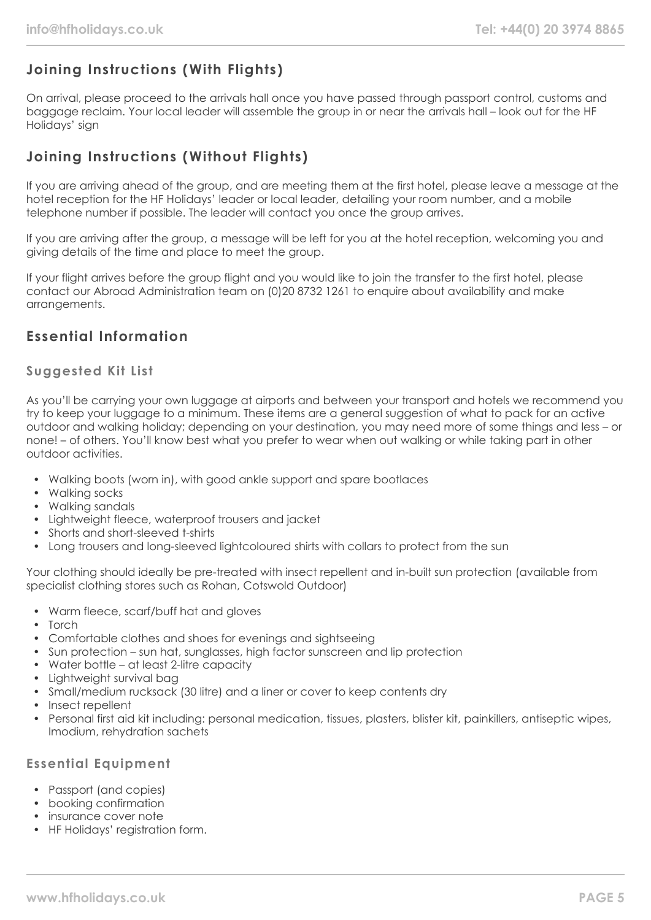# **Joining Instructions (With Flights)**

On arrival, please proceed to the arrivals hall once you have passed through passport control, customs and baggage reclaim. Your local leader will assemble the group in or near the arrivals hall – look out for the HF Holidays' sign

# **Joining Instructions (Without Flights)**

If you are arriving ahead of the group, and are meeting them at the first hotel, please leave a message at the hotel reception for the HF Holidays' leader or local leader, detailing your room number, and a mobile telephone number if possible. The leader will contact you once the group arrives.

If you are arriving after the group, a message will be left for you at the hotel reception, welcoming you and giving details of the time and place to meet the group.

If your flight arrives before the group flight and you would like to join the transfer to the first hotel, please contact our Abroad Administration team on (0)20 8732 1261 to enquire about availability and make arrangements.

# **Essential Information**

## **Suggested Kit List**

As you'll be carrying your own luggage at airports and between your transport and hotels we recommend you try to keep your luggage to a minimum. These items are a general suggestion of what to pack for an active outdoor and walking holiday; depending on your destination, you may need more of some things and less – or none! – of others. You'll know best what you prefer to wear when out walking or while taking part in other outdoor activities.

- Walking boots (worn in), with good ankle support and spare bootlaces
- Walking socks
- Walking sandals
- Lightweight fleece, waterproof trousers and jacket
- Shorts and short-sleeved t-shirts
- Long trousers and long-sleeved lightcoloured shirts with collars to protect from the sun

Your clothing should ideally be pre-treated with insect repellent and in-built sun protection (available from specialist clothing stores such as Rohan, Cotswold Outdoor)

- Warm fleece, scarf/buff hat and gloves
- Torch
- Comfortable clothes and shoes for evenings and sightseeing
- Sun protection sun hat, sunglasses, high factor sunscreen and lip protection
- Water bottle at least 2-litre capacity
- Lightweight survival bag
- Small/medium rucksack (30 litre) and a liner or cover to keep contents dry
- Insect repellent
- Personal first aid kit including: personal medication, tissues, plasters, blister kit, painkillers, antiseptic wipes, Imodium, rehydration sachets

## **Essential Equipment**

- Passport (and copies)
- booking confirmation
- insurance cover note
- HF Holidays' registration form.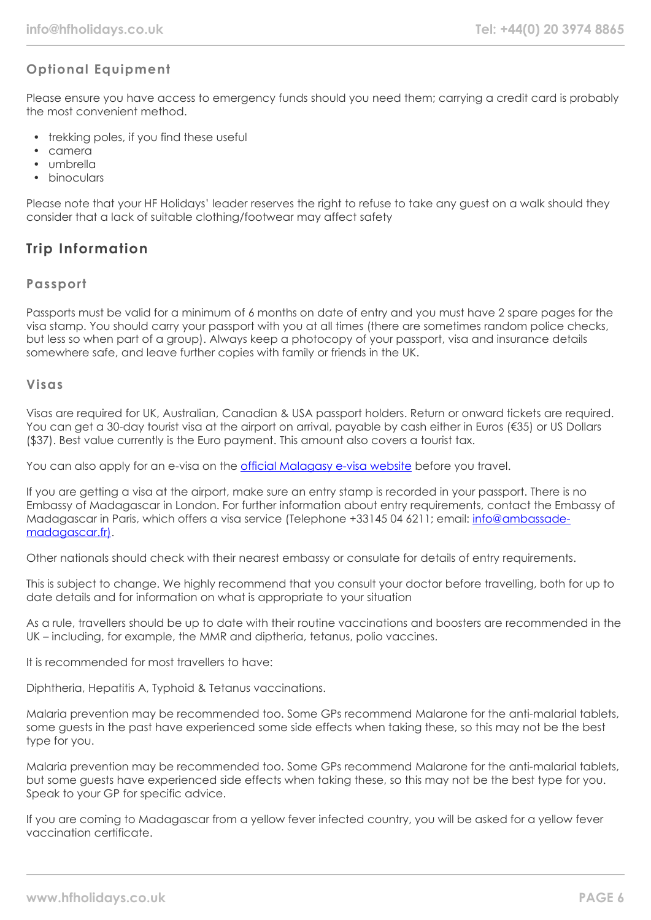# **Optional Equipment**

Please ensure you have access to emergency funds should you need them; carrying a credit card is probably the most convenient method.

- trekking poles, if you find these useful
- camera
- umbrella
- **binoculars**

Please note that your HF Holidays' leader reserves the right to refuse to take any guest on a walk should they consider that a lack of suitable clothing/footwear may affect safety

# **Trip Information**

## **Passport**

Passports must be valid for a minimum of 6 months on date of entry and you must have 2 spare pages for the visa stamp. You should carry your passport with you at all times (there are sometimes random police checks, but less so when part of a group). Always keep a photocopy of your passport, visa and insurance details somewhere safe, and leave further copies with family or friends in the UK.

#### **Visas**

Visas are required for UK, Australian, Canadian & USA passport holders. Return or onward tickets are required. You can get a 30-day tourist visa at the airport on arrival, payable by cash either in Euros (€35) or US Dollars (\$37). Best value currently is the Euro payment. This amount also covers a tourist tax.

You can also apply for an e-visa on the [official Malagasy e-visa website](https://evisamada.gov.mg/en) before you travel.

If you are getting a visa at the airport, make sure an entry stamp is recorded in your passport. There is no Embassy of Madagascar in London. For further information about entry requirements, contact the Embassy of Madagascar in Paris, which offers a visa service (Telephone +33145 04 6211; email: [info@ambassade](mailto:info@ambassade-madagascar.fr))[madagascar.fr\).](mailto:info@ambassade-madagascar.fr))

Other nationals should check with their nearest embassy or consulate for details of entry requirements.

This is subject to change. We highly recommend that you consult your doctor before travelling, both for up to date details and for information on what is appropriate to your situation

As a rule, travellers should be up to date with their routine vaccinations and boosters are recommended in the UK – including, for example, the MMR and diptheria, tetanus, polio vaccines.

It is recommended for most travellers to have:

Diphtheria, Hepatitis A, Typhoid & Tetanus vaccinations.

Malaria prevention may be recommended too. Some GPs recommend Malarone for the anti-malarial tablets, some guests in the past have experienced some side effects when taking these, so this may not be the best type for you.

Malaria prevention may be recommended too. Some GPs recommend Malarone for the anti-malarial tablets, but some guests have experienced side effects when taking these, so this may not be the best type for you. Speak to your GP for specific advice.

If you are coming to Madagascar from a yellow fever infected country, you will be asked for a yellow fever vaccination certificate.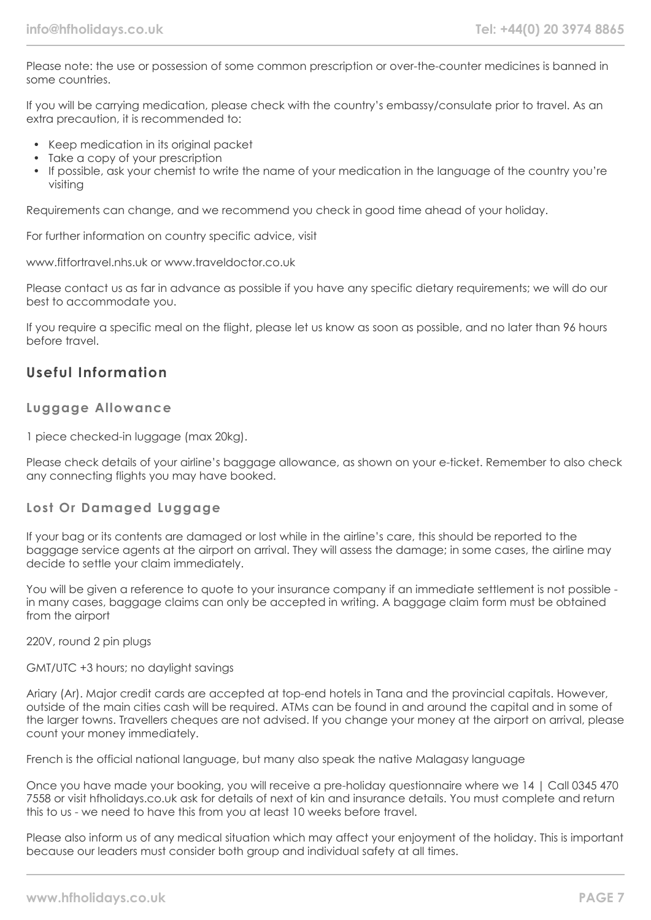Please note: the use or possession of some common prescription or over-the-counter medicines is banned in some countries.

If you will be carrying medication, please check with the country's embassy/consulate prior to travel. As an extra precaution, it is recommended to:

- Keep medication in its original packet
- Take a copy of your prescription
- If possible, ask your chemist to write the name of your medication in the language of the country you're visiting

Requirements can change, and we recommend you check in good time ahead of your holiday.

For further information on country specific advice, visit

www.fitfortravel.nhs.uk or www.traveldoctor.co.uk

Please contact us as far in advance as possible if you have any specific dietary requirements; we will do our best to accommodate you.

If you require a specific meal on the flight, please let us know as soon as possible, and no later than 96 hours before travel.

## **Useful Information**

#### **Luggage Allowance**

1 piece checked-in luggage (max 20kg).

Please check details of your airline's baggage allowance, as shown on your e-ticket. Remember to also check any connecting flights you may have booked.

## **Lost Or Damaged Luggage**

If your bag or its contents are damaged or lost while in the airline's care, this should be reported to the baggage service agents at the airport on arrival. They will assess the damage; in some cases, the airline may decide to settle your claim immediately.

You will be given a reference to quote to your insurance company if an immediate settlement is not possible in many cases, baggage claims can only be accepted in writing. A baggage claim form must be obtained from the airport

220V, round 2 pin plugs

GMT/UTC +3 hours; no daylight savings

Ariary (Ar). Major credit cards are accepted at top-end hotels in Tana and the provincial capitals. However, outside of the main cities cash will be required. ATMs can be found in and around the capital and in some of the larger towns. Travellers cheques are not advised. If you change your money at the airport on arrival, please count your money immediately.

French is the official national language, but many also speak the native Malagasy language

Once you have made your booking, you will receive a pre-holiday questionnaire where we 14 | Call 0345 470 7558 or visit hfholidays.co.uk ask for details of next of kin and insurance details. You must complete and return this to us - we need to have this from you at least 10 weeks before travel.

Please also inform us of any medical situation which may affect your enjoyment of the holiday. This is important because our leaders must consider both group and individual safety at all times.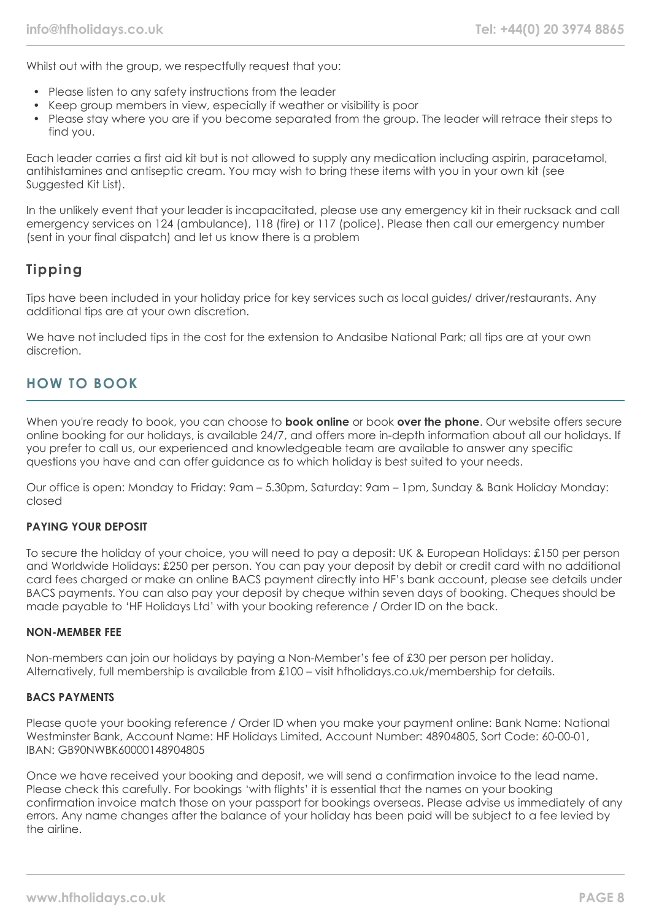Whilst out with the group, we respectfully request that you:

- Please listen to any safety instructions from the leader
- Keep group members in view, especially if weather or visibility is poor
- Please stay where you are if you become separated from the group. The leader will retrace their steps to find you.

Each leader carries a first aid kit but is not allowed to supply any medication including aspirin, paracetamol, antihistamines and antiseptic cream. You may wish to bring these items with you in your own kit (see Suggested Kit List).

In the unlikely event that your leader is incapacitated, please use any emergency kit in their rucksack and call emergency services on 124 (ambulance), 118 (fire) or 117 (police). Please then call our emergency number (sent in your final dispatch) and let us know there is a problem

# **Tipping**

Tips have been included in your holiday price for key services such as local guides/ driver/restaurants. Any additional tips are at your own discretion.

We have not included tips in the cost for the extension to Andasibe National Park; all tips are at your own discretion.

# **HOW TO BOOK**

When you're ready to book, you can choose to **book online** or book **over the phone**. Our website offers secure online booking for our holidays, is available 24/7, and offers more in-depth information about all our holidays. If you prefer to call us, our experienced and knowledgeable team are available to answer any specific questions you have and can offer guidance as to which holiday is best suited to your needs.

Our office is open: Monday to Friday: 9am – 5.30pm, Saturday: 9am – 1pm, Sunday & Bank Holiday Monday: closed

## **PAYING YOUR DEPOSIT**

To secure the holiday of your choice, you will need to pay a deposit: UK & European Holidays: £150 per person and Worldwide Holidays: £250 per person. You can pay your deposit by debit or credit card with no additional card fees charged or make an online BACS payment directly into HF's bank account, please see details under BACS payments. You can also pay your deposit by cheque within seven days of booking. Cheques should be made payable to 'HF Holidays Ltd' with your booking reference / Order ID on the back.

#### **NON-MEMBER FEE**

Non-members can join our holidays by paying a Non-Member's fee of £30 per person per holiday. Alternatively, full membership is available from £100 – visit hfholidays.co.uk/membership for details.

#### **BACS PAYMENTS**

Please quote your booking reference / Order ID when you make your payment online: Bank Name: National Westminster Bank, Account Name: HF Holidays Limited, Account Number: 48904805, Sort Code: 60-00-01, IBAN: GB90NWBK60000148904805

Once we have received your booking and deposit, we will send a confirmation invoice to the lead name. Please check this carefully. For bookings 'with flights' it is essential that the names on your booking confirmation invoice match those on your passport for bookings overseas. Please advise us immediately of any errors. Any name changes after the balance of your holiday has been paid will be subject to a fee levied by the airline.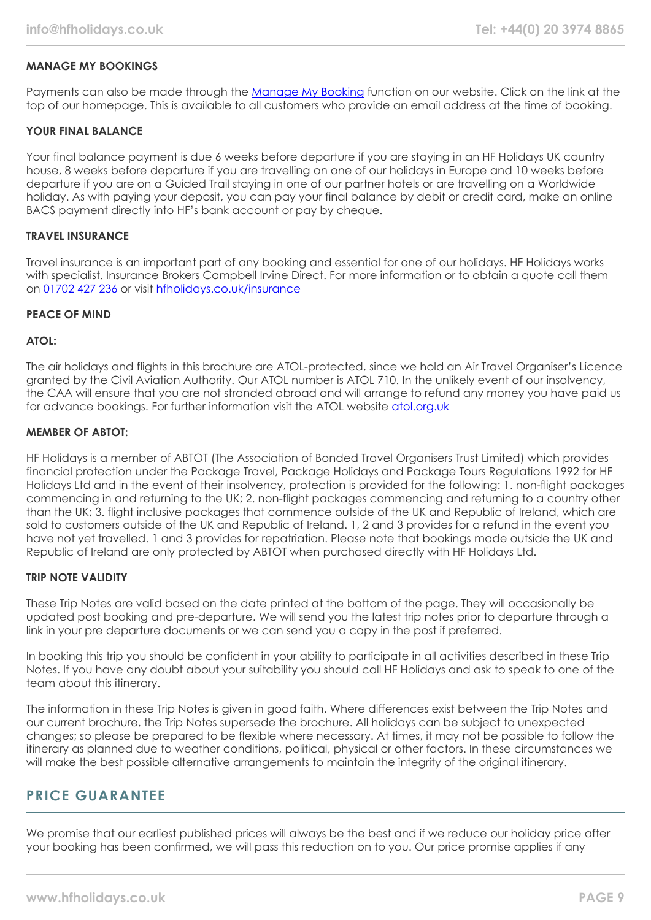#### **MANAGE MY BOOKINGS**

Payments can also be made through the [Manage My Booking](https://www.hfholidays.co.uk/about-us/bookings/my-booking) function on our website. Click on the link at the top of our homepage. This is available to all customers who provide an email address at the time of booking.

#### **YOUR FINAL BALANCE**

Your final balance payment is due 6 weeks before departure if you are staying in an HF Holidays UK country house, 8 weeks before departure if you are travelling on one of our holidays in Europe and 10 weeks before departure if you are on a Guided Trail staying in one of our partner hotels or are travelling on a Worldwide holiday. As with paying your deposit, you can pay your final balance by debit or credit card, make an online BACS payment directly into HF's bank account or pay by cheque.

#### **TRAVEL INSURANCE**

Travel insurance is an important part of any booking and essential for one of our holidays. HF Holidays works with specialist. Insurance Brokers Campbell Irvine Direct. For more information or to obtain a quote call them on [01702 427 236](tel:01702427236) or visit [hfholidays.co.uk/insurance](https://www.hfholidays.co.uk/about-us/bookings/insurance)

#### **PEACE OF MIND**

#### **ATOL:**

The air holidays and flights in this brochure are ATOL-protected, since we hold an Air Travel Organiser's Licence granted by the Civil Aviation Authority. Our ATOL number is ATOL 710. In the unlikely event of our insolvency, the CAA will ensure that you are not stranded abroad and will arrange to refund any money you have paid us for advance bookings. For further information visit the ATOL website [atol.org.uk](https://www.atol.org/)

#### **MEMBER OF ABTOT:**

HF Holidays is a member of ABTOT (The Association of Bonded Travel Organisers Trust Limited) which provides financial protection under the Package Travel, Package Holidays and Package Tours Regulations 1992 for HF Holidays Ltd and in the event of their insolvency, protection is provided for the following: 1. non-flight packages commencing in and returning to the UK; 2. non-flight packages commencing and returning to a country other than the UK; 3. flight inclusive packages that commence outside of the UK and Republic of Ireland, which are sold to customers outside of the UK and Republic of Ireland. 1, 2 and 3 provides for a refund in the event you have not yet travelled. 1 and 3 provides for repatriation. Please note that bookings made outside the UK and Republic of Ireland are only protected by ABTOT when purchased directly with HF Holidays Ltd.

#### **TRIP NOTE VALIDITY**

These Trip Notes are valid based on the date printed at the bottom of the page. They will occasionally be updated post booking and pre-departure. We will send you the latest trip notes prior to departure through a link in your pre departure documents or we can send you a copy in the post if preferred.

In booking this trip you should be confident in your ability to participate in all activities described in these Trip Notes. If you have any doubt about your suitability you should call HF Holidays and ask to speak to one of the team about this itinerary.

The information in these Trip Notes is given in good faith. Where differences exist between the Trip Notes and our current brochure, the Trip Notes supersede the brochure. All holidays can be subject to unexpected changes; so please be prepared to be flexible where necessary. At times, it may not be possible to follow the itinerary as planned due to weather conditions, political, physical or other factors. In these circumstances we will make the best possible alternative arrangements to maintain the integrity of the original itinerary.

## **PRICE GUARANTEE**

We promise that our earliest published prices will always be the best and if we reduce our holiday price after your booking has been confirmed, we will pass this reduction on to you. Our price promise applies if any